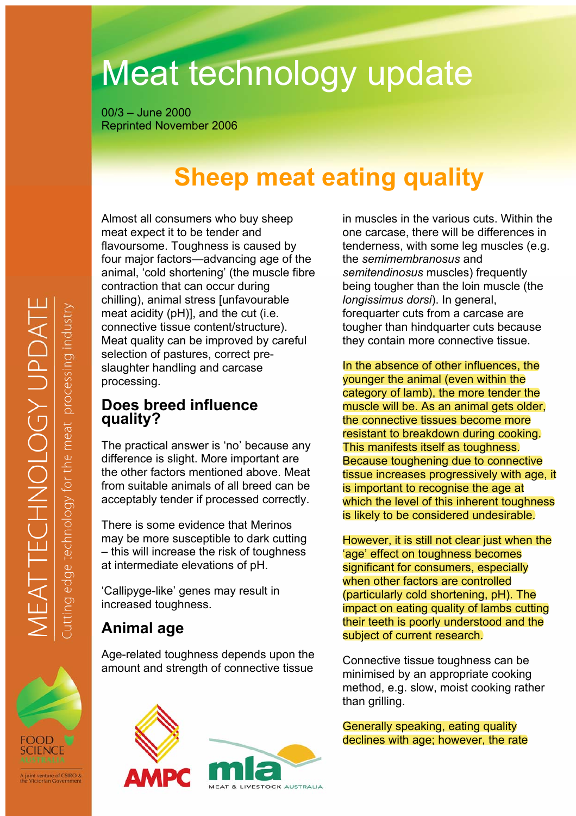# Meat technology update

 $00/3 -$ June 2000 **Reprinted November 2006** 

## **Sheep meat eating quality**

Almost all consumers who buy sheep meat expect it to be tender and flavoursome. Toughness is caused by four major factors—advancing age of the animal, 'cold shortening' (the muscle fibre contraction that can occur during chilling), animal stress [unfavourable meat acidity (pH)], and the cut (i.e. connective tissue content/structure). Meat quality can be improved by careful selection of pastures, correct preslaughter handling and carcase processing.

### Does breed influence quality?

The practical answer is 'no' because any difference is slight. More important are the other factors mentioned above. Meat from suitable animals of all breed can be acceptably tender if processed correctly.

There is some evidence that Merinos may be more susceptible to dark cutting - this will increase the risk of toughness at intermediate elevations of pH.

'Callipyge-like' genes may result in increased toughness.

### **Animal age**

Age-related toughness depends upon the amount and strength of connective tissue





in muscles in the various cuts. Within the one carcase, there will be differences in tenderness, with some leg muscles (e.g. the semimembranosus and semitendinosus muscles) frequently being tougher than the loin muscle (the longissimus dorsi). In general, forequarter cuts from a carcase are tougher than hindquarter cuts because they contain more connective tissue.

In the absence of other influences, the vounger the animal (even within the category of lamb), the more tender the muscle will be. As an animal gets older. the connective tissues become more resistant to breakdown during cooking. This manifests itself as toughness. Because toughening due to connective tissue increases progressively with age, it is important to recognise the age at which the level of this inherent toughness is likely to be considered undesirable.

However, it is still not clear just when the 'age' effect on toughness becomes significant for consumers, especially when other factors are controlled (particularly cold shortening, pH). The impact on eating quality of lambs cutting their teeth is poorly understood and the subject of current research.

Connective tissue toughness can be minimised by an appropriate cooking method, e.g. slow, moist cooking rather than grilling.

Generally speaking, eating quality declines with age; however, the rate



joint venture of CSIRO &<br>e Victorian Government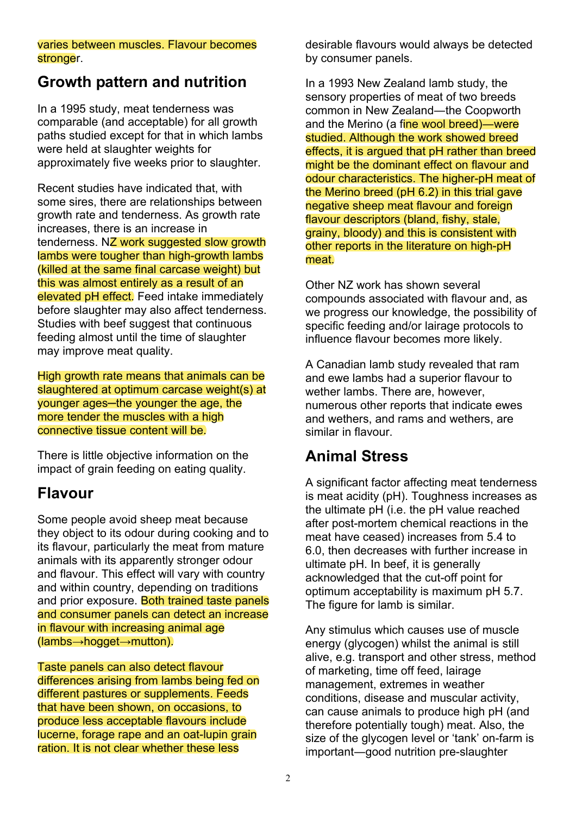#### varies between muscles. Flavour becomes stronger.

### **Growth pattern and nutrition**

In a 1995 study, meat tenderness was comparable (and acceptable) for all growth paths studied except for that in which lambs were held at slaughter weights for approximately five weeks prior to slaughter.

Recent studies have indicated that, with some sires, there are relationships between growth rate and tenderness. As growth rate increases, there is an increase in tenderness. NZ work suggested slow growth lambs were tougher than high-growth lambs (killed at the same final carcase weight) but this was almost entirely as a result of an elevated pH effect. Feed intake immediately before slaughter may also affect tenderness. Studies with beef suggest that continuous feeding almost until the time of slaughter may improve meat quality.

High growth rate means that animals can be slaughtered at optimum carcase weight(s) at younger ages-the younger the age, the more tender the muscles with a high connective tissue content will be.

There is little objective information on the impact of grain feeding on eating quality.

### **Flavour**

Some people avoid sheep meat because they object to its odour during cooking and to its flavour, particularly the meat from mature animals with its apparently stronger odour and flavour. This effect will vary with country and within country, depending on traditions and prior exposure. Both trained taste panels and consumer panels can detect an increase in flavour with increasing animal age  $(lambs \rightarrow hogget \rightarrow mutton)$ .

Taste panels can also detect flavour differences arising from lambs being fed on different pastures or supplements. Feeds that have been shown, on occasions, to produce less acceptable flavours include lucerne, forage rape and an oat-lupin grain ration. It is not clear whether these less

desirable flavours would always be detected by consumer panels.

In a 1993 New Zealand lamb study, the sensory properties of meat of two breeds common in New Zealand-the Coopworth and the Merino (a fine wool breed)—were studied. Although the work showed breed effects, it is argued that pH rather than breed might be the dominant effect on flayour and odour characteristics. The higher-pH meat of the Merino breed (pH 6.2) in this trial gave negative sheep meat flavour and foreign flavour descriptors (bland, fishy, stale, grainy, bloody) and this is consistent with other reports in the literature on high-pH meat.

Other NZ work has shown several compounds associated with flavour and, as we progress our knowledge, the possibility of specific feeding and/or lairage protocols to influence flavour becomes more likely.

A Canadian lamb study revealed that ram and ewe lambs had a superior flavour to wether lambs. There are, however. numerous other reports that indicate ewes and wethers, and rams and wethers, are similar in flavour

### **Animal Stress**

A significant factor affecting meat tenderness is meat acidity (pH). Toughness increases as the ultimate pH (i.e. the pH value reached after post-mortem chemical reactions in the meat have ceased) increases from 5.4 to 6.0. then decreases with further increase in ultimate pH. In beef, it is generally acknowledged that the cut-off point for optimum acceptability is maximum pH 5.7. The figure for lamb is similar.

Any stimulus which causes use of muscle energy (glycogen) whilst the animal is still alive, e.g. transport and other stress, method of marketing, time off feed, lairage management, extremes in weather conditions, disease and muscular activity, can cause animals to produce high pH (and therefore potentially tough) meat. Also, the size of the glycogen level or 'tank' on-farm is important-good nutrition pre-slaughter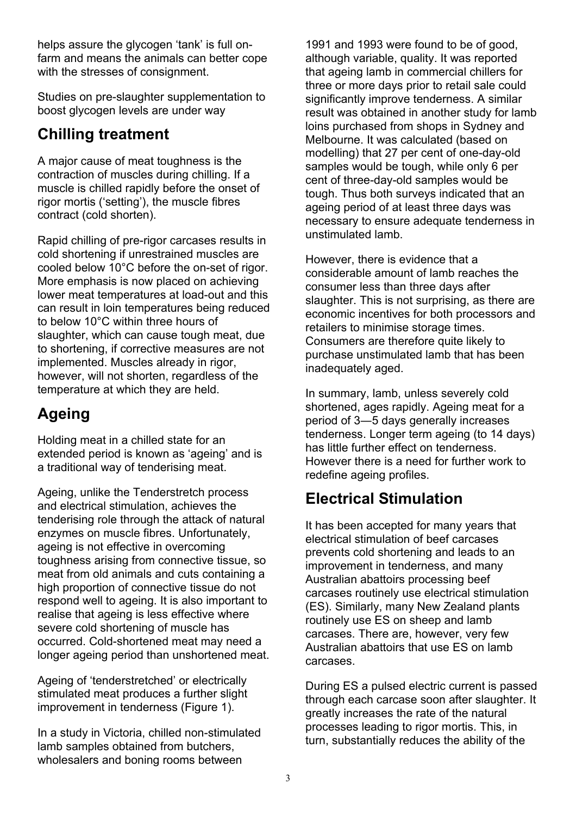helps assure the glycogen 'tank' is full onfarm and means the animals can better cope with the stresses of consignment.

Studies on pre-slaughter supplementation to boost glycogen levels are under way

### **Chilling treatment**

A major cause of meat toughness is the contraction of muscles during chilling. If a muscle is chilled rapidly before the onset of rigor mortis ('setting'), the muscle fibres contract (cold shorten).

Rapid chilling of pre-rigor carcases results in cold shortening if unrestrained muscles are cooled below 10°C before the on-set of rigor. More emphasis is now placed on achieving lower meat temperatures at load-out and this can result in loin temperatures being reduced to below 10°C within three hours of slaughter, which can cause tough meat, due to shortening, if corrective measures are not implemented. Muscles already in rigor, however, will not shorten, regardless of the temperature at which they are held.

### **Ageing**

Holding meat in a chilled state for an extended period is known as 'ageing' and is a traditional way of tenderising meat.

Ageing, unlike the Tenderstretch process and electrical stimulation, achieves the tenderising role through the attack of natural enzymes on muscle fibres. Unfortunately, ageing is not effective in overcoming toughness arising from connective tissue, so meat from old animals and cuts containing a high proportion of connective tissue do not respond well to ageing. It is also important to realise that ageing is less effective where severe cold shortening of muscle has occurred. Cold-shortened meat may need a longer ageing period than unshortened meat.

Ageing of 'tenderstretched' or electrically stimulated meat produces a further slight improvement in tenderness (Figure 1).

In a study in Victoria, chilled non-stimulated lamb samples obtained from butchers, wholesalers and boning rooms between

1991 and 1993 were found to be of good. although variable, quality. It was reported that ageing lamb in commercial chillers for three or more days prior to retail sale could significantly improve tenderness. A similar result was obtained in another study for lamb loins purchased from shops in Sydney and Melbourne. It was calculated (based on modelling) that 27 per cent of one-day-old samples would be tough, while only 6 per cent of three-day-old samples would be tough. Thus both surveys indicated that an ageing period of at least three days was necessary to ensure adequate tenderness in unstimulated lamh

However, there is evidence that a considerable amount of lamb reaches the consumer less than three days after slaughter. This is not surprising, as there are economic incentives for both processors and retailers to minimise storage times. Consumers are therefore quite likely to purchase unstimulated lamb that has been inadequately aged.

In summary, lamb, unless severely cold shortened, ages rapidly. Ageing meat for a period of 3-5 days generally increases tenderness. Longer term ageing (to 14 days) has little further effect on tenderness. However there is a need for further work to redefine ageing profiles.

### **Electrical Stimulation**

It has been accepted for many years that electrical stimulation of beef carcases prevents cold shortening and leads to an improvement in tenderness, and many Australian abattoirs processing beef carcases routinely use electrical stimulation (ES). Similarly, many New Zealand plants routinely use ES on sheep and lamb carcases. There are, however, very few Australian abattoirs that use ES on lamb carcases.

During ES a pulsed electric current is passed through each carcase soon after slaughter. It greatly increases the rate of the natural processes leading to rigor mortis. This, in turn, substantially reduces the ability of the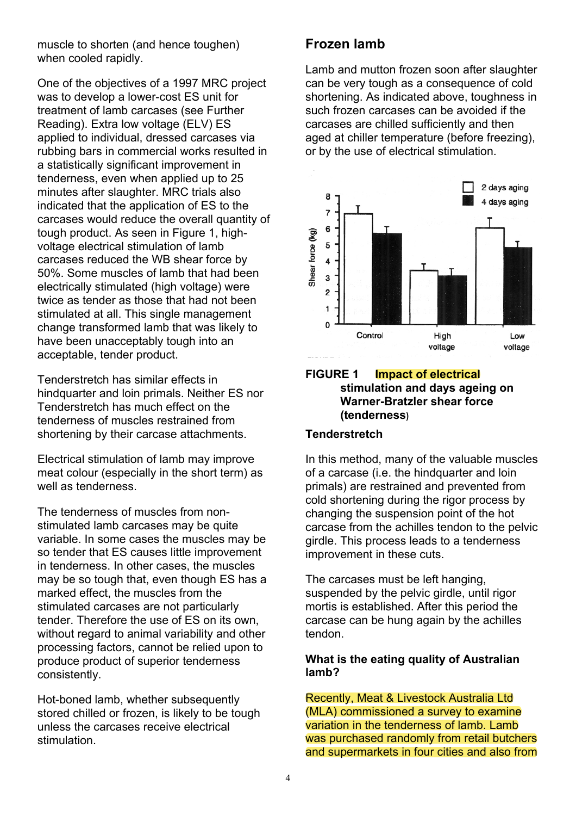muscle to shorten (and hence toughen) when cooled rapidly.

One of the objectives of a 1997 MRC project was to develop a lower-cost ES unit for treatment of lamb carcases (see Further Reading). Extra low voltage (ELV) ES applied to individual, dressed carcases via rubbing bars in commercial works resulted in a statistically significant improvement in tenderness, even when applied up to 25 minutes after slaughter. MRC trials also indicated that the application of ES to the carcases would reduce the overall quantity of tough product. As seen in Figure 1, highvoltage electrical stimulation of lamb carcases reduced the WB shear force by 50%. Some muscles of lamb that had been electrically stimulated (high voltage) were twice as tender as those that had not been stimulated at all. This single management change transformed lamb that was likely to have been unacceptably tough into an acceptable, tender product.

Tenderstretch has similar effects in hindquarter and loin primals. Neither ES nor Tenderstretch has much effect on the tenderness of muscles restrained from shortening by their carcase attachments.

Electrical stimulation of lamb may improve meat colour (especially in the short term) as well as tenderness.

The tenderness of muscles from nonstimulated lamb carcases may be quite variable. In some cases the muscles may be so tender that ES causes little improvement in tenderness. In other cases, the muscles may be so tough that, even though ES has a marked effect, the muscles from the stimulated carcases are not particularly tender. Therefore the use of ES on its own. without regard to animal variability and other processing factors, cannot be relied upon to produce product of superior tenderness consistently.

Hot-boned lamb, whether subsequently stored chilled or frozen, is likely to be tough unless the carcases receive electrical stimulation

### **Frozen lamb**

Lamb and mutton frozen soon after slaughter can be very tough as a consequence of cold shortening. As indicated above, toughness in such frozen carcases can be avoided if the carcases are chilled sufficiently and then aged at chiller temperature (before freezing), or by the use of electrical stimulation.



#### **FIGURE 1 Impact of electrical** stimulation and days ageing on **Warner-Bratzler shear force** (tenderness)

#### **Tenderstretch**

In this method, many of the valuable muscles of a carcase (i.e. the hindquarter and loin primals) are restrained and prevented from cold shortening during the rigor process by changing the suspension point of the hot carcase from the achilles tendon to the pelvic girdle. This process leads to a tenderness improvement in these cuts.

The carcases must be left hanging. suspended by the pelvic girdle, until rigor mortis is established. After this period the carcase can be hung again by the achilles tendon

#### What is the eating quality of Australian lamb?

Recently, Meat & Livestock Australia Ltd (MLA) commissioned a survey to examine variation in the tenderness of lamb. Lamb was purchased randomly from retail butchers and supermarkets in four cities and also from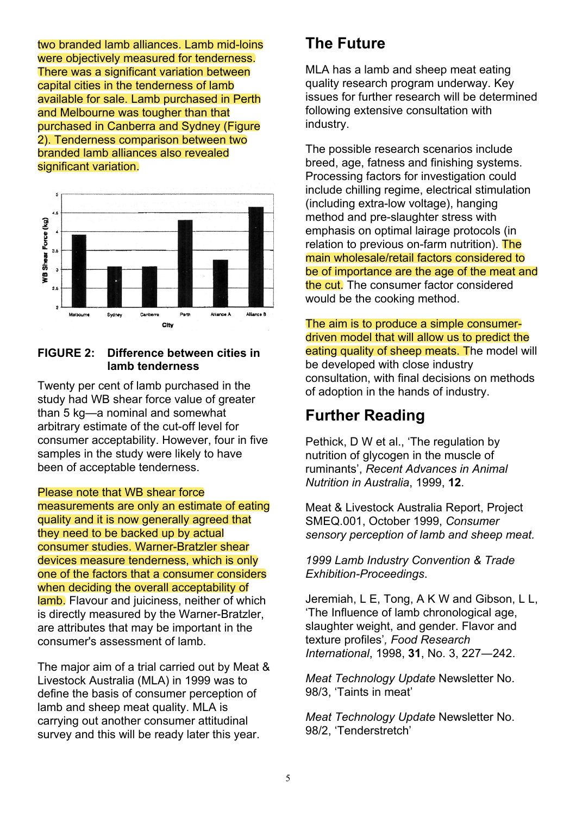two branded lamb alliances. Lamb mid-loins were objectively measured for tenderness. There was a significant variation between capital cities in the tenderness of lamb available for sale. Lamb purchased in Perth and Melbourne was tougher than that purchased in Canberra and Sydney (Figure 2). Tenderness comparison between two branded lamb alliances also revealed significant variation.



#### **FIGURE 2:** Difference between cities in lamb tenderness

Twenty per cent of lamb purchased in the study had WB shear force value of greater than 5 kg-a nominal and somewhat arbitrary estimate of the cut-off level for consumer acceptability. However, four in five samples in the study were likely to have been of acceptable tenderness.

#### Please note that WB shear force

measurements are only an estimate of eating quality and it is now generally agreed that they need to be backed up by actual consumer studies. Warner-Bratzler shear devices measure tenderness, which is only one of the factors that a consumer considers when deciding the overall acceptability of lamb. Flavour and juiciness, neither of which is directly measured by the Warner-Bratzler, are attributes that may be important in the consumer's assessment of lamb.

The major aim of a trial carried out by Meat & Livestock Australia (MLA) in 1999 was to define the basis of consumer perception of lamb and sheep meat quality. MLA is carrying out another consumer attitudinal survey and this will be ready later this year.

### **The Future**

MLA has a lamb and sheep meat eating quality research program underway. Key issues for further research will be determined following extensive consultation with industry.

The possible research scenarios include breed, age, fatness and finishing systems. Processing factors for investigation could include chilling regime, electrical stimulation (including extra-low voltage), hanging method and pre-slaughter stress with emphasis on optimal lairage protocols (in relation to previous on-farm nutrition). The main wholesale/retail factors considered to be of importance are the age of the meat and the cut. The consumer factor considered would be the cooking method.

The aim is to produce a simple consumerdriven model that will allow us to predict the eating quality of sheep meats. The model will be developed with close industry consultation, with final decisions on methods of adoption in the hands of industry.

### **Further Reading**

Pethick, D W et al., 'The regulation by nutrition of alvcogen in the muscle of ruminants', Recent Advances in Animal Nutrition in Australia, 1999, 12.

Meat & Livestock Australia Report, Project SMEQ.001, October 1999, Consumer sensory perception of lamb and sheep meat.

1999 Lamb Industry Convention & Trade **Exhibition-Proceedings.** 

Jeremiah, L E, Tong, A K W and Gibson, L L, 'The Influence of lamb chronological age, slaughter weight, and gender. Flavor and texture profiles', Food Research International, 1998, 31, No. 3, 227-242.

Meat Technology Update Newsletter No. 98/3, 'Taints in meat'

Meat Technology Update Newsletter No. 98/2. 'Tenderstretch'